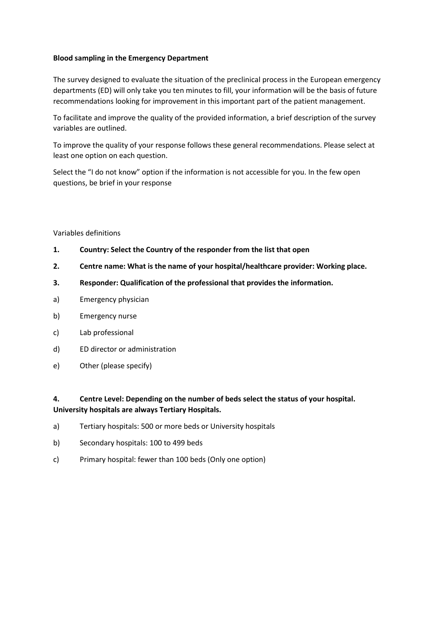## **Blood sampling in the Emergency Department**

The survey designed to evaluate the situation of the preclinical process in the European emergency departments (ED) will only take you ten minutes to fill, your information will be the basis of future recommendations looking for improvement in this important part of the patient management.

To facilitate and improve the quality of the provided information, a brief description of the survey variables are outlined.

To improve the quality of your response follows these general recommendations. Please select at least one option on each question.

Select the "I do not know" option if the information is not accessible for you. In the few open questions, be brief in your response

### Variables definitions

- **1. Country: Select the Country of the responder from the list that open**
- **2. Centre name: What is the name of your hospital/healthcare provider: Working place.**
- **3. Responder: Qualification of the professional that provides the information.**
- a) Emergency physician
- b) Emergency nurse
- c) Lab professional
- d) ED director or administration
- e) Other (please specify)

# **4. Centre Level: Depending on the number of beds select the status of your hospital. University hospitals are always Tertiary Hospitals.**

- a) Tertiary hospitals: 500 or more beds or University hospitals
- b) Secondary hospitals: 100 to 499 beds
- c) Primary hospital: fewer than 100 beds (Only one option)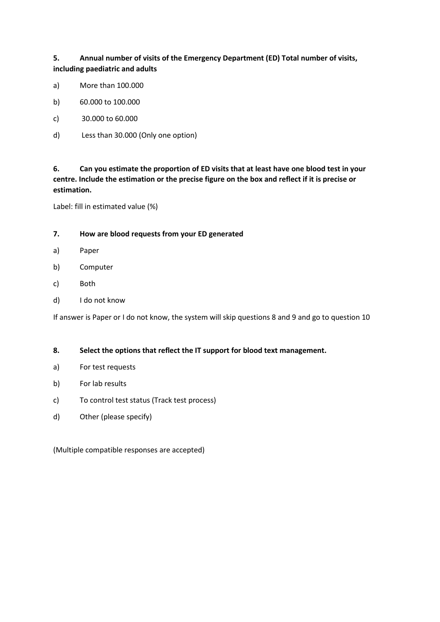**5. Annual number of visits of the Emergency Department (ED) Total number of visits, including paediatric and adults**

- a) More than 100.000
- b) 60.000 to 100.000
- c) 30.000 to 60.000
- d) Less than 30.000 (Only one option)

**6. Can you estimate the proportion of ED visits that at least have one blood test in your centre. Include the estimation or the precise figure on the box and reflect if it is precise or estimation.**

Label: fill in estimated value (%)

### **7. How are blood requests from your ED generated**

- a) Paper
- b) Computer
- c) Both
- d) I do not know

If answer is Paper or I do not know, the system will skip questions 8 and 9 and go to question 10

### **8. Select the options that reflect the IT support for blood text management.**

- a) For test requests
- b) For lab results
- c) To control test status (Track test process)
- d) Other (please specify)

(Multiple compatible responses are accepted)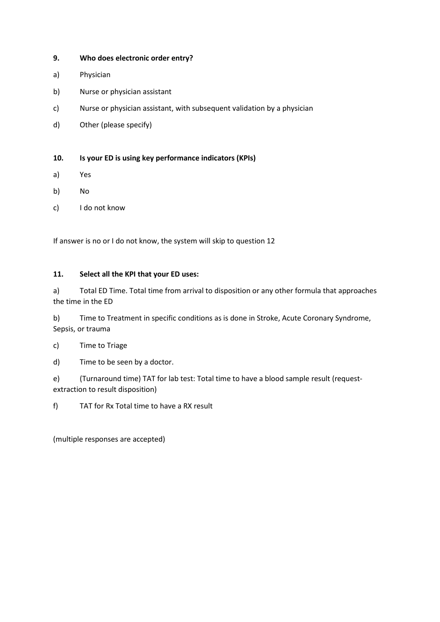## **9. Who does electronic order entry?**

- a) Physician
- b) Nurse or physician assistant
- c) Nurse or physician assistant, with subsequent validation by a physician
- d) Other (please specify)

## **10. Is your ED is using key performance indicators (KPIs)**

- a) Yes
- b) No
- c) I do not know

If answer is no or I do not know, the system will skip to question 12

### **11. Select all the KPI that your ED uses:**

a) Total ED Time. Total time from arrival to disposition or any other formula that approaches the time in the ED

b) Time to Treatment in specific conditions as is done in Stroke, Acute Coronary Syndrome, Sepsis, or trauma

c) Time to Triage

d) Time to be seen by a doctor.

e) (Turnaround time) TAT for lab test: Total time to have a blood sample result (requestextraction to result disposition)

f) TAT for Rx Total time to have a RX result

(multiple responses are accepted)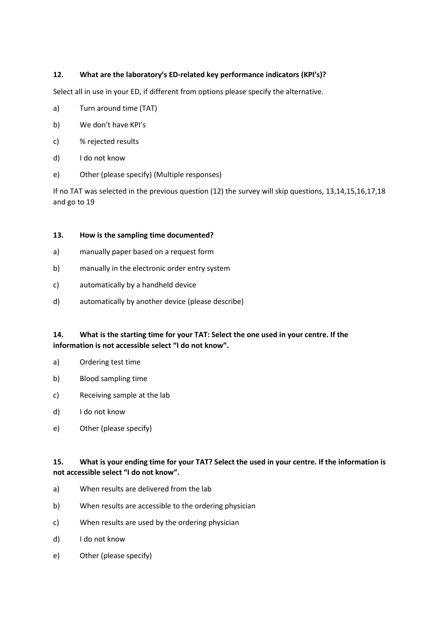# **12. What are the laboratory's ED-related key performance indicators (KPI's)?**

Select all in use in your ED, if different from options please specify the alternative.

- a) Turn around time (TAT)
- b) We don't have KPI's
- c) % rejected results
- d) I do not know
- e) Other (please specify) (Multiple responses)

If no TAT was selected in the previous question (12) the survey will skip questions, 13,14,15,16,17,18 and go to 19

### **13. How is the sampling time documented?**

- a) manually paper based on a request form
- b) manually in the electronic order entry system
- c) automatically by a handheld device
- d) automatically by another device (please describe)

# **14. What is the starting time for your TAT: Select the one used in your centre. If the information is not accessible select "I do not know".**

- a) Ordering test time
- b) Blood sampling time
- c) Receiving sample at the lab
- d) I do not know
- e) Other (please specify)

## **15. What is your ending time for your TAT? Select the used in your centre. If the information is not accessible select "I do not know".**

- a) When results are delivered from the lab
- b) When results are accessible to the ordering physician
- c) When results are used by the ordering physician
- d) I do not know
- e) Other (please specify)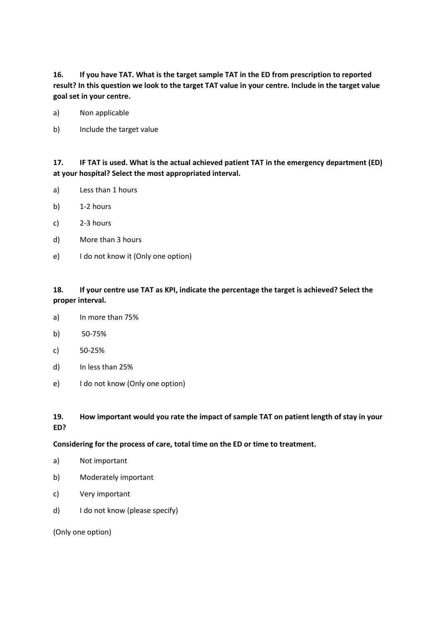**16. If you have TAT. What is the target sample TAT in the ED from prescription to reported result? In this question we look to the target TAT value in your centre. Include in the target value goal set in your centre.**

- a) Non applicable
- b) Include the target value

**17. IF TAT is used. What is the actual achieved patient TAT in the emergency department (ED) at your hospital? Select the most appropriated interval.**

- a) Less than 1 hours
- b) 1-2 hours
- c) 2-3 hours
- d) More than 3 hours
- e) I do not know it (Only one option)

# **18. If your centre use TAT as KPI, indicate the percentage the target is achieved? Select the proper interval.**

- a) In more than 75%
- b) 50-75%
- c) 50-25%
- d) In less than 25%
- e) I do not know (Only one option)

## **19. How important would you rate the impact of sample TAT on patient length of stay in your ED?**

### **Considering for the process of care, total time on the ED or time to treatment.**

- a) Not important
- b) Moderately important
- c) Very important
- d) I do not know (please specify)

(Only one option)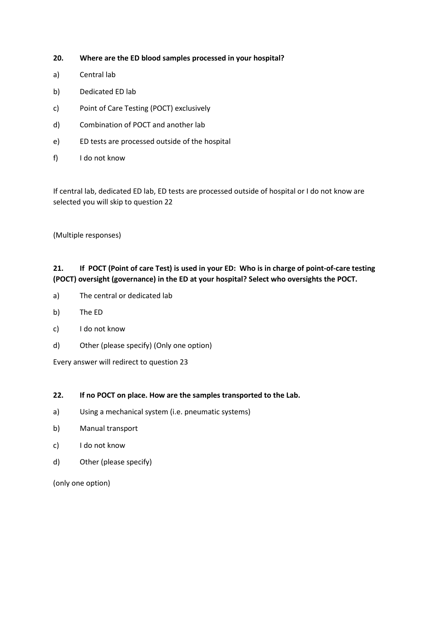## **20. Where are the ED blood samples processed in your hospital?**

- a) Central lab
- b) Dedicated ED lab
- c) Point of Care Testing (POCT) exclusively
- d) Combination of POCT and another lab
- e) ED tests are processed outside of the hospital
- f) I do not know

If central lab, dedicated ED lab, ED tests are processed outside of hospital or I do not know are selected you will skip to question 22

(Multiple responses)

# **21. If POCT (Point of care Test) is used in your ED: Who is in charge of point-of-care testing (POCT) oversight (governance) in the ED at your hospital? Select who oversights the POCT.**

- a) The central or dedicated lab
- b) The ED
- c) I do not know
- d) Other (please specify) (Only one option)

Every answer will redirect to question 23

### **22. If no POCT on place. How are the samples transported to the Lab.**

- a) Using a mechanical system (i.e. pneumatic systems)
- b) Manual transport
- c) I do not know
- d) Other (please specify)

(only one option)